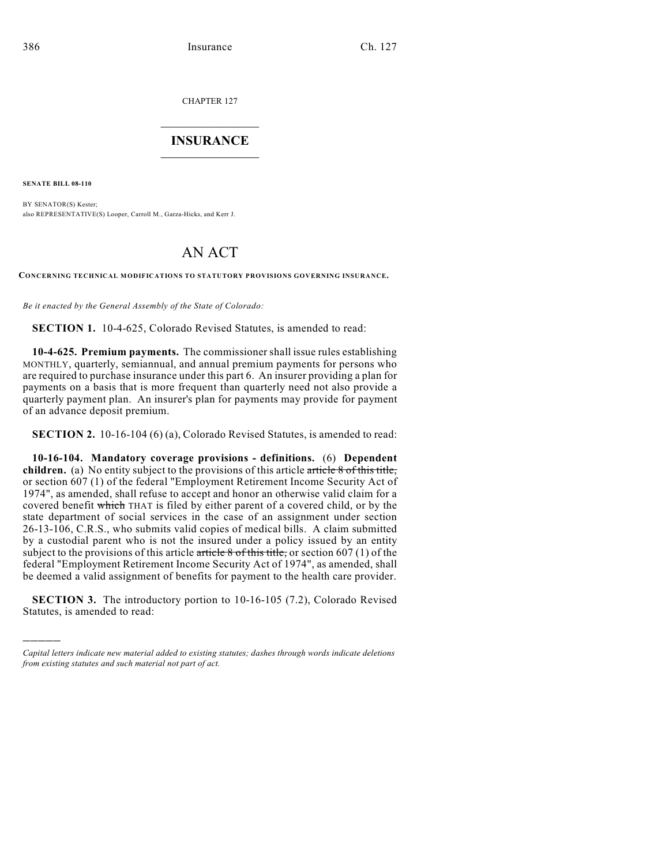CHAPTER 127

## $\overline{\phantom{a}}$  . The set of the set of the set of the set of the set of the set of the set of the set of the set of the set of the set of the set of the set of the set of the set of the set of the set of the set of the set o **INSURANCE**  $\frac{1}{2}$  ,  $\frac{1}{2}$  ,  $\frac{1}{2}$  ,  $\frac{1}{2}$  ,  $\frac{1}{2}$  ,  $\frac{1}{2}$  ,  $\frac{1}{2}$

**SENATE BILL 08-110**

)))))

BY SENATOR(S) Kester; also REPRESENTATIVE(S) Looper, Carroll M., Garza-Hicks, and Kerr J.

## AN ACT

**CONCERNING TECHNICAL MODIFICATIONS TO STATUTORY PROVISIONS GOVERNING INSURANCE.**

*Be it enacted by the General Assembly of the State of Colorado:*

**SECTION 1.** 10-4-625, Colorado Revised Statutes, is amended to read:

**10-4-625. Premium payments.** The commissioner shall issue rules establishing MONTHLY, quarterly, semiannual, and annual premium payments for persons who are required to purchase insurance under this part 6. An insurer providing a plan for payments on a basis that is more frequent than quarterly need not also provide a quarterly payment plan. An insurer's plan for payments may provide for payment of an advance deposit premium.

**SECTION 2.** 10-16-104 (6) (a), Colorado Revised Statutes, is amended to read:

**10-16-104. Mandatory coverage provisions - definitions.** (6) **Dependent children.** (a) No entity subject to the provisions of this article article 8 of this title, or section 607 (1) of the federal "Employment Retirement Income Security Act of 1974", as amended, shall refuse to accept and honor an otherwise valid claim for a covered benefit which THAT is filed by either parent of a covered child, or by the state department of social services in the case of an assignment under section 26-13-106, C.R.S., who submits valid copies of medical bills. A claim submitted by a custodial parent who is not the insured under a policy issued by an entity subject to the provisions of this article article  $\frac{8 \text{ of this title}}{8 \text{ of this title}}$ , or section 607 (1) of the federal "Employment Retirement Income Security Act of 1974", as amended, shall be deemed a valid assignment of benefits for payment to the health care provider.

**SECTION 3.** The introductory portion to 10-16-105 (7.2), Colorado Revised Statutes, is amended to read:

*Capital letters indicate new material added to existing statutes; dashes through words indicate deletions from existing statutes and such material not part of act.*